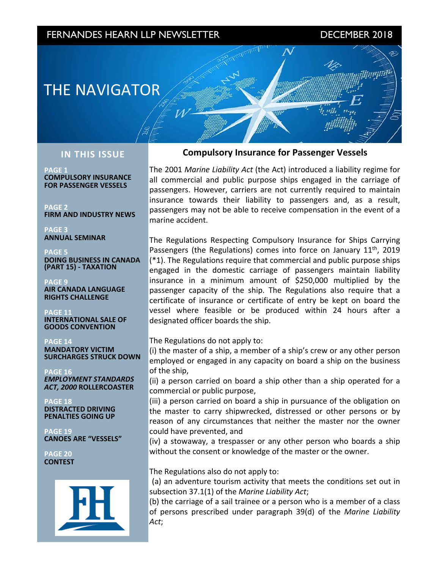# FERNANDES HEARN LLP NEWSLETTER DECEMBER 2018

mag

# **THE NAVIGATOR**

## **IN THIS ISSUE**

**PAGE 1 COMPULSORY INSURANCE FOR PASSENGER VESSELS**

**PAGE 2 FIRM AND INDUSTRY NEWS** 

**PAGE 3 ANNUAL SEMINAR**

**PAGE 5 DOING BUSINESS IN CANADA (PART 15) - TAXATION**

**PAGE 9 AIR CANADA LANGUAGE RIGHTS CHALLENGE**

<code>PAGE</code> 1: **INTERNATIONAL SALE OF GOODS CONVENTION**

**PAGE 14 MANDATORY VICTIM SURCHARGES STRUCK DOWN** 

**PAGE 16 EMPLOYMENT STANDARDS** *ACT, 2000* **ROLLERCOASTER**

**PAGE 18 DISTRACTED DRIVING PENALTIES GOING UP** 

**PAGE 19 CANOES ARE "VESSELS"**

**PAGE 20 CONTEST**



## **Compulsory Insurance for Passenger Vessels**

The 2001 Marine Liability Act (the Act) introduced a liability regime for all commercial and public purpose ships engaged in the carriage of passengers. However, carriers are not currently required to maintain insurance towards their liability to passengers and, as a result, passengers may not be able to receive compensation in the event of a marine accident.

The Regulations Respecting Compulsory Insurance for Ships Carrying Passengers (the Regulations) comes into force on January  $11<sup>th</sup>$ , 2019  $(*1)$ . The Regulations require that commercial and public purpose ships engaged in the domestic carriage of passengers maintain liability insurance in a minimum amount of  $$250,000$  multiplied by the passenger capacity of the ship. The Regulations also require that a certificate of insurance or certificate of entry be kept on board the vessel where feasible or be produced within 24 hours after a designated officer boards the ship.

The Regulations do not apply to:

(i) the master of a ship, a member of a ship's crew or any other person employed or engaged in any capacity on board a ship on the business of the ship,

(ii) a person carried on board a ship other than a ship operated for a commercial or public purpose,

(iii) a person carried on board a ship in pursuance of the obligation on the master to carry shipwrecked, distressed or other persons or by reason of any circumstances that neither the master nor the owner could have prevented, and

(iv) a stowaway, a trespasser or any other person who boards a ship without the consent or knowledge of the master or the owner.

The Regulations also do not apply to:

(a) an adventure tourism activity that meets the conditions set out in subsection 37.1(1) of the *Marine Liability Act*;

(b) the carriage of a sail trainee or a person who is a member of a class of persons prescribed under paragraph 39(d) of the *Marine Liability Act*;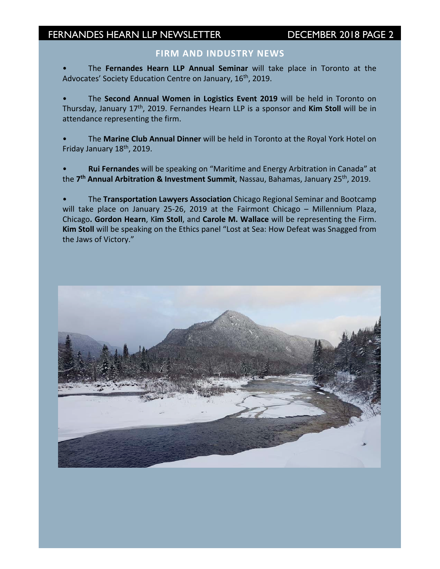## **FIRM AND INDUSTRY NEWS**

The Fernandes Hearn LLP Annual Seminar will take place in Toronto at the Advocates' Society Education Centre on January, 16<sup>th</sup>, 2019.

The Second Annual Women in Logistics Event 2019 will be held in Toronto on Thursday, January 17<sup>th</sup>, 2019. Fernandes Hearn LLP is a sponsor and **Kim Stoll** will be in attendance representing the firm.

The Marine Club Annual Dinner will be held in Toronto at the Royal York Hotel on Friday January 18<sup>th</sup>, 2019.

Rui Fernandes will be speaking on "Maritime and Energy Arbitration in Canada" at the 7<sup>th</sup> Annual Arbitration & Investment Summit, Nassau, Bahamas, January 25<sup>th</sup>, 2019.

The Transportation Lawyers Association Chicago Regional Seminar and Bootcamp will take place on January 25-26, 2019 at the Fairmont Chicago – Millennium Plaza, Chicago. Gordon Hearn, Kim Stoll, and Carole M. Wallace will be representing the Firm. **Kim Stoll** will be speaking on the Ethics panel "Lost at Sea: How Defeat was Snagged from the Jaws of Victory."

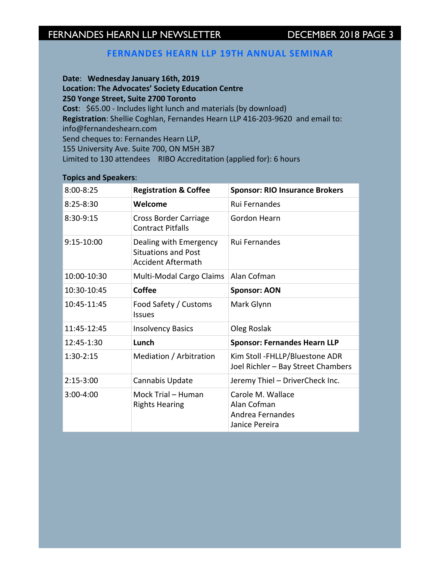## **FERNANDES HEARN LLP 19TH ANNUAL SEMINAR**

Date: Wednesday January 16th, 2019 **Location: The Advocates' Society Education Centre 250 Yonge Street, Suite 2700 Toronto Cost**: \$65.00 - Includes light lunch and materials (by download) **Registration**: Shellie Coghlan, Fernandes Hearn LLP 416-203-9620 and email to: info@fernandeshearn.com Send cheques to: Fernandes Hearn LLP, 155 University Ave. Suite 700, ON M5H 3B7 Limited to 130 attendees RIBO Accreditation (applied for): 6 hours

### **Topics and Speakers**:

| $8:00 - 8:25$  | <b>Registration &amp; Coffee</b>                                                  | <b>Sponsor: RIO Insurance Brokers</b>                                  |
|----------------|-----------------------------------------------------------------------------------|------------------------------------------------------------------------|
| $8:25 - 8:30$  | Welcome                                                                           | <b>Rui Fernandes</b>                                                   |
| 8:30-9:15      | Cross Border Carriage<br><b>Contract Pitfalls</b>                                 | Gordon Hearn                                                           |
| $9:15-10:00$   | Dealing with Emergency<br><b>Situations and Post</b><br><b>Accident Aftermath</b> | <b>Rui Fernandes</b>                                                   |
| 10:00-10:30    | Multi-Modal Cargo Claims                                                          | Alan Cofman                                                            |
| 10:30-10:45    | Coffee                                                                            | <b>Sponsor: AON</b>                                                    |
| 10:45-11:45    | Food Safety / Customs<br><b>Issues</b>                                            | Mark Glynn                                                             |
| 11:45-12:45    | <b>Insolvency Basics</b>                                                          | Oleg Roslak                                                            |
| $12:45 - 1:30$ | Lunch                                                                             | <b>Sponsor: Fernandes Hearn LLP</b>                                    |
| $1:30-2:15$    | Mediation / Arbitration                                                           | Kim Stoll -FHLLP/Bluestone ADR<br>Joel Richler - Bay Street Chambers   |
| $2:15-3:00$    | Cannabis Update                                                                   | Jeremy Thiel - DriverCheck Inc.                                        |
| $3:00 - 4:00$  | Mock Trial - Human<br><b>Rights Hearing</b>                                       | Carole M. Wallace<br>Alan Cofman<br>Andrea Fernandes<br>Janice Pereira |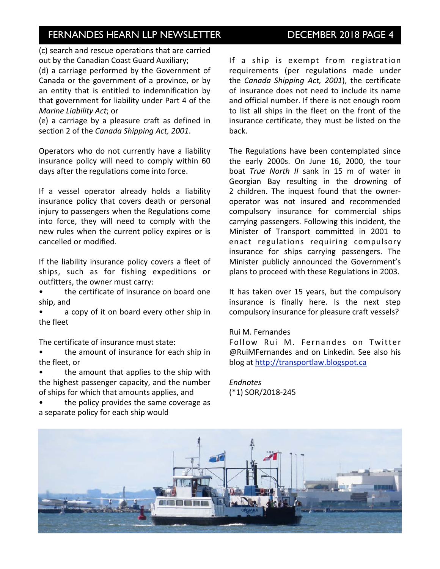(c) search and rescue operations that are carried out by the Canadian Coast Guard Auxiliary;

(d) a carriage performed by the Government of Canada or the government of a province, or by an entity that is entitled to indemnification by that government for liability under Part 4 of the *Marine Liability Act; or* 

(e) a carriage by a pleasure craft as defined in section 2 of the *Canada Shipping Act*, 2001.

Operators who do not currently have a liability insurance policy will need to comply within 60 days after the regulations come into force.

If a vessel operator already holds a liability insurance policy that covers death or personal injury to passengers when the Regulations come into force, they will need to comply with the new rules when the current policy expires or is cancelled or modified.

If the liability insurance policy covers a fleet of ships, such as for fishing expeditions or outfitters, the owner must carry:

the certificate of insurance on board one ship, and

a copy of it on board every other ship in the fleet

The certificate of insurance must state:

the amount of insurance for each ship in the fleet, or

the amount that applies to the ship with the highest passenger capacity, and the number of ships for which that amounts applies, and

the policy provides the same coverage as a separate policy for each ship would

If a ship is exempt from registration requirements (per regulations made under the *Canada Shipping Act, 2001*), the certificate of insurance does not need to include its name and official number. If there is not enough room to list all ships in the fleet on the front of the insurance certificate, they must be listed on the back.

The Regulations have been contemplated since the early 2000s. On June 16, 2000, the tour boat *True* North *II* sank in 15 m of water in Georgian Bay resulting in the drowning of 2 children. The inquest found that the owneroperator was not insured and recommended compulsory insurance for commercial ships carrying passengers. Following this incident, the Minister of Transport committed in 2001 to enact regulations requiring compulsory insurance for ships carrying passengers. The Minister publicly announced the Government's plans to proceed with these Regulations in 2003.

It has taken over 15 years, but the compulsory insurance is finally here. Is the next step compulsory insurance for pleasure craft vessels?

### Rui M. Fernandes

Follow Rui M. Fernandes on Twitter  $@$ RuiMFernandes and on Linkedin. See also his blog at http://transportlaw.blogspot.ca

*Endnotes* (\*1) SOR/2018-245

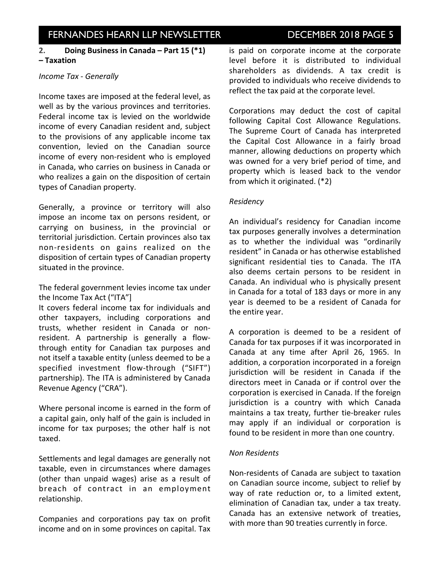# INVESTOR IN EXAMPLE NEWSLETTER ISSUE IS NOT THE NEWSLETTER DECEMBER 2018 PAGE 5

## 2. **Doing Business in Canada – Part 15 (\*1) – Taxation**

### *Income Tax - Generally*

Income taxes are imposed at the federal level, as well as by the various provinces and territories. Federal income tax is levied on the worldwide income of every Canadian resident and, subject to the provisions of any applicable income tax convention, levied on the Canadian source income of every non-resident who is employed in Canada, who carries on business in Canada or who realizes a gain on the disposition of certain types of Canadian property.

Generally, a province or territory will also impose an income tax on persons resident, or carrying on business, in the provincial or territorial jurisdiction. Certain provinces also tax non-residents on gains realized on the disposition of certain types of Canadian property situated in the province.

The federal government levies income tax under the Income Tax Act ("ITA"]

It covers federal income tax for individuals and other taxpayers, including corporations and trusts, whether resident in Canada or nonresident. A partnership is generally a flowthrough entity for Canadian tax purposes and not itself a taxable entity (unless deemed to be a specified investment flow-through ("SIFT") partnership). The ITA is administered by Canada Revenue Agency ("CRA").

Where personal income is earned in the form of a capital gain, only half of the gain is included in income for tax purposes; the other half is not taxed.

Settlements and legal damages are generally not taxable, even in circumstances where damages (other than unpaid wages) arise as a result of breach of contract in an employment relationship.

Companies and corporations pay tax on profit income and on in some provinces on capital. Tax

is paid on corporate income at the corporate level before it is distributed to individual shareholders as dividends. A tax credit is provided to individuals who receive dividends to reflect the tax paid at the corporate level.

Corporations may deduct the cost of capital following Capital Cost Allowance Regulations. The Supreme Court of Canada has interpreted the Capital Cost Allowance in a fairly broad manner, allowing deductions on property which was owned for a very brief period of time, and property which is leased back to the vendor from which it originated.  $(*2)$ 

### *Residency*

An individual's residency for Canadian income tax purposes generally involves a determination as to whether the individual was "ordinarily resident" in Canada or has otherwise established significant residential ties to Canada. The ITA also deems certain persons to be resident in Canada. An individual who is physically present in Canada for a total of 183 days or more in any year is deemed to be a resident of Canada for the entire year.

A corporation is deemed to be a resident of Canada for tax purposes if it was incorporated in Canada at any time after April 26, 1965. In addition, a corporation incorporated in a foreign jurisdiction will be resident in Canada if the directors meet in Canada or if control over the corporation is exercised in Canada. If the foreign jurisdiction is a country with which Canada maintains a tax treaty, further tie-breaker rules may apply if an individual or corporation is found to be resident in more than one country.

### *Non Residents*

Non-residents of Canada are subject to taxation on Canadian source income, subject to relief by way of rate reduction or, to a limited extent, elimination of Canadian tax, under a tax treaty. Canada has an extensive network of treaties, with more than 90 treaties currently in force.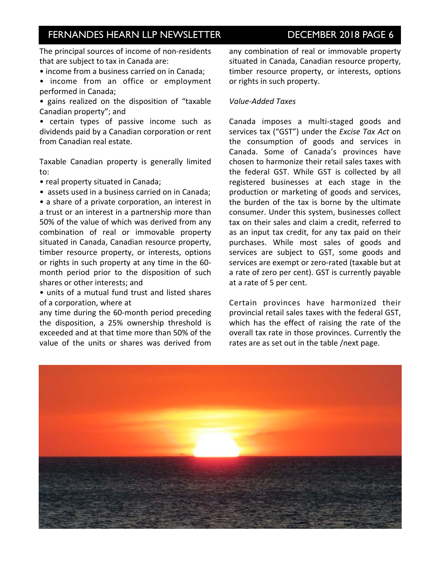The principal sources of income of non-residents that are subject to tax in Canada are:

• income from a business carried on in Canada;

• income from an office or employment performed in Canada;

• gains realized on the disposition of "taxable Canadian property"; and

• certain types of passive income such as dividends paid by a Canadian corporation or rent from Canadian real estate.

Taxable Canadian property is generally limited to: 

• real property situated in Canada;

• assets used in a business carried on in Canada;

• a share of a private corporation, an interest in a trust or an interest in a partnership more than 50% of the value of which was derived from any combination of real or immovable property situated in Canada, Canadian resource property, timber resource property, or interests, options or rights in such property at any time in the 60month period prior to the disposition of such shares or other interests; and

• units of a mutual fund trust and listed shares of a corporation, where at

any time during the 60-month period preceding the disposition, a 25% ownership threshold is exceeded and at that time more than 50% of the value of the units or shares was derived from any combination of real or immovable property situated in Canada, Canadian resource property, timber resource property, or interests, options or rights in such property.

### *Value-Added Taxes*

Canada imposes a multi-staged goods and services tax ("GST") under the *Excise Tax Act* on the consumption of goods and services in Canada. Some of Canada's provinces have chosen to harmonize their retail sales taxes with the federal GST. While GST is collected by all registered businesses at each stage in the production or marketing of goods and services, the burden of the tax is borne by the ultimate consumer. Under this system, businesses collect tax on their sales and claim a credit, referred to as an input tax credit, for any tax paid on their purchases. While most sales of goods and services are subject to GST, some goods and services are exempt or zero-rated (taxable but at a rate of zero per cent). GST is currently payable at a rate of 5 per cent.

Certain provinces have harmonized their provincial retail sales taxes with the federal GST, which has the effect of raising the rate of the overall tax rate in those provinces. Currently the rates are as set out in the table /next page.

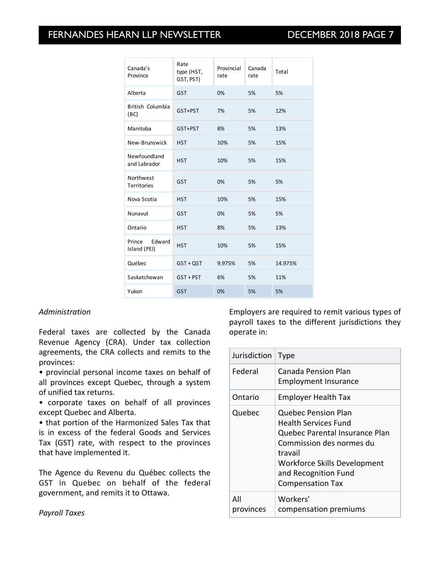| Canada's<br>Province             | Rate<br>type (HST,<br>GST, PST) | Provincial<br>rate | Canada<br>rate | Total   |
|----------------------------------|---------------------------------|--------------------|----------------|---------|
| Alberta                          | <b>GST</b>                      | 0%                 | 5%             | 5%      |
| British Columbia<br>(BC)         | GST+PST                         | 7%                 | 5%             | 12%     |
| Manitoba                         | GST+PST                         | 8%                 | 5%             | 13%     |
| New-Brunswick                    | <b>HST</b>                      | 10%                | 5%             | 15%     |
| Newfoundland<br>and Labrador     | <b>HST</b>                      | 10%                | 5%             | 15%     |
| Northwest<br>Territories         | <b>GST</b>                      | 0%                 | 5%             | 5%      |
| Nova Scotia                      | <b>HST</b>                      | 10%                | 5%             | 15%     |
| Nunavut                          | <b>GST</b>                      | 0%                 | 5%             | 5%      |
| Ontario                          | <b>HST</b>                      | 8%                 | 5%             | 13%     |
| Edward<br>Prince<br>Island (PEI) | <b>HST</b>                      | 10%                | 5%             | 15%     |
| Québec                           | $GST + QST$                     | 9.975%             | 5%             | 14.975% |
| Saskatchewan                     | GST + PST                       | 6%                 | 5%             | 11%     |
| Yukon                            | <b>GST</b>                      | 0%                 | 5%             | 5%      |

## *Administration*

Federal taxes are collected by the Canada Revenue Agency (CRA). Under tax collection agreements, the CRA collects and remits to the provinces:

• provincial personal income taxes on behalf of all provinces except Quebec, through a system of unified tax returns.

• corporate taxes on behalf of all provinces except Quebec and Alberta.

• that portion of the Harmonized Sales Tax that is in excess of the federal Goods and Services Tax (GST) rate, with respect to the provinces that have implemented it.

The Agence du Revenu du Québec collects the GST in Quebec on behalf of the federal government, and remits it to Ottawa.

Employers are required to remit various types of payroll taxes to the different jurisdictions they operate in:

| Jurisdiction     | <b>Type</b>                                                                                                                                                                                                    |
|------------------|----------------------------------------------------------------------------------------------------------------------------------------------------------------------------------------------------------------|
| Federal          | Canada Pension Plan<br><b>Employment Insurance</b>                                                                                                                                                             |
| Ontario          | <b>Employer Health Tax</b>                                                                                                                                                                                     |
| Quebec           | Quebec Pension Plan<br>Health Services Fund<br>Quebec Parental Insurance Plan<br>Commission des normes du<br>travail<br><b>Workforce Skills Development</b><br>and Recognition Fund<br><b>Compensation Tax</b> |
| All<br>provinces | Workers'<br>compensation premiums                                                                                                                                                                              |

*Payroll Taxes*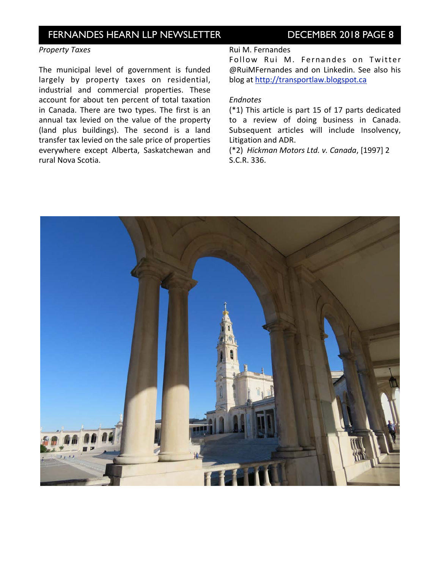### *Property Taxes*

The municipal level of government is funded largely by property taxes on residential, industrial and commercial properties. These account for about ten percent of total taxation in Canada. There are two types. The first is an annual tax levied on the value of the property (land plus buildings). The second is a land transfer tax levied on the sale price of properties everywhere except Alberta, Saskatchewan and rural Nova Scotia.

#### Rui M. Fernandes

Follow Rui M. Fernandes on Twitter @RuiMFernandes and on Linkedin. See also his blog at http://transportlaw.blogspot.ca

## *Endnotes*

 $(*1)$  This article is part 15 of 17 parts dedicated to a review of doing business in Canada. Subsequent articles will include Insolvency, Litigation and ADR.

(\*2) *Hickman Motors Ltd. v. Canada*, [1997] 2 S.C.R. 336.

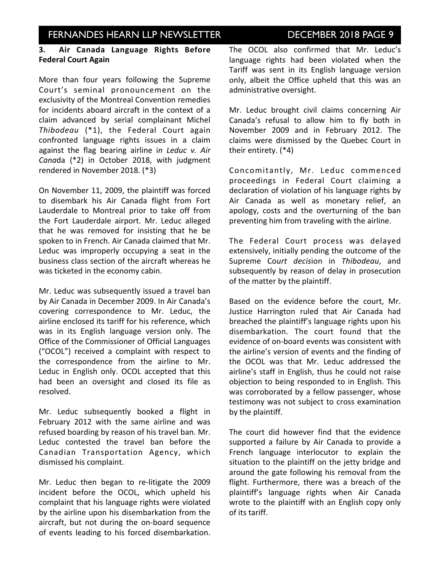# INVESTOR IN EXAMPLE NEWSLETTER ISSUE IS DECEMBER 2018 PAGE 9

## **3. Air Canada Language Rights Before Federal Court Again**

More than four years following the Supreme Court's seminal pronouncement on the exclusivity of the Montreal Convention remedies for incidents aboard aircraft in the context of a claim advanced by serial complainant Michel Thibodeau (\*1), the Federal Court again confronted language rights issues in a claim against the flag bearing airline in Leduc v. Air Canada (\*2) in October 2018, with judgment rendered in November 2018. (\*3)

On November 11, 2009, the plaintiff was forced to disembark his Air Canada flight from Fort Lauderdale to Montreal prior to take off from the Fort Lauderdale airport. Mr. Leduc alleged that he was removed for insisting that he be spoken to in French. Air Canada claimed that Mr. Leduc was improperly occupying a seat in the business class section of the aircraft whereas he was ticketed in the economy cabin.

Mr. Leduc was subsequently issued a travel ban by Air Canada in December 2009. In Air Canada's covering correspondence to Mr. Leduc, the airline enclosed its tariff for his reference, which was in its English language version only. The Office of the Commissioner of Official Languages ("OCOL") received a complaint with respect to the correspondence from the airline to Mr. Leduc in English only. OCOL accepted that this had been an oversight and closed its file as resolved.

Mr. Leduc subsequently booked a flight in February 2012 with the same airline and was refused boarding by reason of his travel ban. Mr. Leduc contested the travel ban before the Canadian Transportation Agency, which dismissed his complaint.

Mr. Leduc then began to re-litigate the 2009 incident before the OCOL, which upheld his complaint that his language rights were violated by the airline upon his disembarkation from the aircraft, but not during the on-board sequence of events leading to his forced disembarkation.

The OCOL also confirmed that Mr. Leduc's language rights had been violated when the Tariff was sent in its English language version only, albeit the Office upheld that this was an administrative oversight.

Mr. Leduc brought civil claims concerning Air Canada's refusal to allow him to fly both in November 2009 and in February 2012. The claims were dismissed by the Quebec Court in their entirety.  $(*4)$ 

Concomitantly, Mr. Leduc commenced proceedings in Federal Court claiming a declaration of violation of his language rights by Air Canada as well as monetary relief, an apology, costs and the overturning of the ban preventing him from traveling with the airline.

The Federal Court process was delayed extensively, initially pending the outcome of the Supreme Court decision in Thibodeau, and subsequently by reason of delay in prosecution of the matter by the plaintiff.

Based on the evidence before the court. Mr. Justice Harrington ruled that Air Canada had breached the plaintiff's language rights upon his disembarkation. The court found that the evidence of on-board events was consistent with the airline's version of events and the finding of the OCOL was that Mr. Leduc addressed the airline's staff in English, thus he could not raise objection to being responded to in English. This was corroborated by a fellow passenger, whose testimony was not subject to cross examination by the plaintiff.

The court did however find that the evidence supported a failure by Air Canada to provide a French language interlocutor to explain the situation to the plaintiff on the jetty bridge and around the gate following his removal from the flight. Furthermore, there was a breach of the plaintiff's language rights when Air Canada wrote to the plaintiff with an English copy only of its tariff.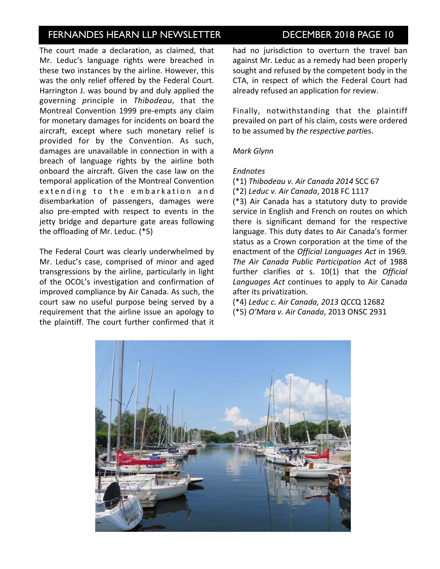The court made a declaration, as claimed, that Mr. Leduc's language rights were breached in these two instances by the airline. However, this was the only relief offered by the Federal Court. Harrington J. was bound by and duly applied the governing *p*rinciple in *Thibodeau*, that the Montreal Convention 1999 pre-empts any claim for monetary damages for incidents on board the aircraft, except where such monetary relief is provided for by the Convention. As such, damages are unavailable in connection in with a breach of language rights by the airline both onboard the aircraft. Given the case law on the temporal application of the Montreal Convention extending to the embarkation and disembarkation of passengers, damages were also pre-empted with respect to events in the jetty bridge and departure gate areas following the offloading of Mr. Leduc.  $(*5)$ 

The Federal Court was clearly underwhelmed by Mr. Leduc's case, comprised of minor and aged transgressions by the airline, particularly in light of the OCOL's investigation and confirmation of improved compliance by Air Canada. As such, the court saw no useful purpose being served by a requirement that the airline issue an apology to the plaintiff. The court further confirmed that it had no jurisdiction to overturn the travel ban against Mr. Leduc as a remedy had been properly sought and refused by the competent body in the CTA, in respect of which the Federal Court had already refused an application for review.

Finally, notwithstanding that the plaintiff prevailed on part of his claim, costs were ordered to be assumed by the respective parties.

## *Mark Glynn*

### *Endnotes*

(\*1) *Thibodeau v. Air Canada 2014* SCC 67

(\*2) *Leduc v. Air Canada*, 2018 FC 1117  $(*3)$  Air Canada has a statutory duty to provide service in English and French on routes on which there is significant demand for the respective language. This duty dates to Air Canada's former status as a Crown corporation at the time of the enactment of the *Official Languages Act* in 1969. The Air Canada Public Participation Act of 1988 further clarifies at s. 10(1) that the Official Languages Act continues to apply to Air Canada after its privatization.

(\*4) *Leduc c. Air Canada, 2013 QCC*Q 12682 (\*5) *O'Mara v. Air Canada*, 2013 ONSC 2931

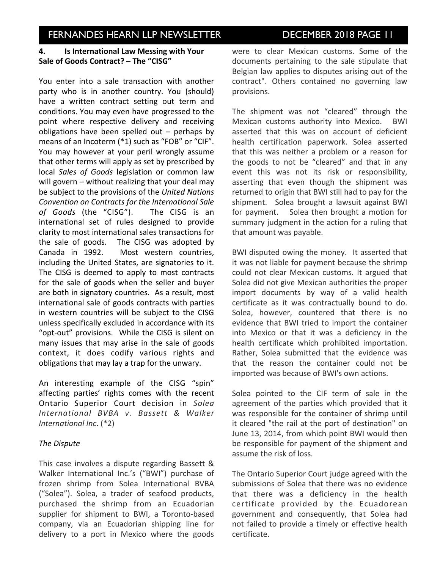## **4.** Is International Law Messing with Your Sale of Goods Contract? - The "CISG"

You enter into a sale transaction with another party who is in another country. You (should) have a written contract setting out term and conditions. You may even have progressed to the point where respective delivery and receiving obligations have been spelled out  $-$  perhaps by means of an Incoterm  $(*1)$  such as "FOB" or "CIF". You may however at your peril wrongly assume that other terms will apply as set by prescribed by local *Sales of Goods* legislation or common law will govern  $-$  without realizing that your deal may be subject to the provisions of the *United Nations Convention on Contracts for the International Sale*  of Goods (the "CISG"). The CISG is an international set of rules designed to provide clarity to most international sales transactions for the sale of goods. The CISG was adopted by Canada in 1992. Most western countries, including the United States, are signatories to it. The CISG is deemed to apply to most contracts for the sale of goods when the seller and buyer are both in signatory countries. As a result, most international sale of goods contracts with parties in western countries will be subject to the CISG unless specifically excluded in accordance with its "opt-out" provisions. While the CISG is silent on many issues that may arise in the sale of goods context, it does codify various rights and obligations that may lay a trap for the unwary.

An interesting example of the CISG "spin" affecting parties' rights comes with the recent Ontario Superior Court decision in *Solea International BVBA v. Bassett & Walker International Inc.* (\*2)

## *The Dispute*

This case involves a dispute regarding Bassett & Walker International Inc.'s ("BWI") purchase of frozen shrimp from Solea International BVBA ("Solea"). Solea, a trader of seafood products, purchased the shrimp from an Ecuadorian supplier for shipment to BWI, a Toronto-based company, via an Ecuadorian shipping line for delivery to a port in Mexico where the goods were to clear Mexican customs. Some of the documents pertaining to the sale stipulate that Belgian law applies to disputes arising out of the contract". Others contained no governing law provisions.

The shipment was not "cleared" through the Mexican customs authority into Mexico. BWI asserted that this was on account of deficient health certification paperwork. Solea asserted that this was neither a problem or a reason for the goods to not be "cleared" and that in any event this was not its risk or responsibility, asserting that even though the shipment was returned to origin that BWI still had to pay for the shipment. Solea brought a lawsuit against BWI for payment. Solea then brought a motion for summary judgment in the action for a ruling that that amount was payable.

BWI disputed owing the money. It asserted that it was not liable for payment because the shrimp could not clear Mexican customs. It argued that Solea did not give Mexican authorities the proper import documents by way of a valid health certificate as it was contractually bound to do. Solea, however, countered that there is no evidence that BWI tried to import the container into Mexico or that it was a deficiency in the health certificate which prohibited importation. Rather, Solea submitted that the evidence was that the reason the container could not be imported was because of BWI's own actions.

Solea pointed to the CIF term of sale in the agreement of the parties which provided that it was responsible for the container of shrimp until it cleared "the rail at the port of destination" on June 13, 2014, from which point BWI would then be responsible for payment of the shipment and assume the risk of loss.

The Ontario Superior Court judge agreed with the submissions of Solea that there was no evidence that there was a deficiency in the health certificate provided by the Ecuadorean government and consequently, that Solea had not failed to provide a timely or effective health certificate.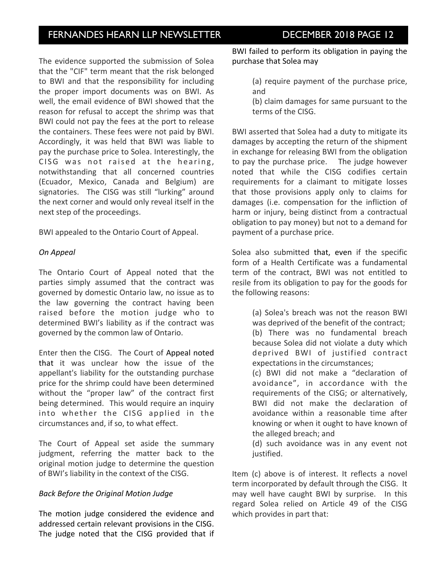The evidence supported the submission of Solea that the "CIF" term meant that the risk belonged to BWI and that the responsibility for including the proper import documents was on BWI. As well, the email evidence of BWI showed that the reason for refusal to accept the shrimp was that BWI could not pay the fees at the port to release the containers. These fees were not paid by BWI. Accordingly, it was held that BWI was liable to pay the purchase price to Solea. Interestingly, the CISG was not raised at the hearing, notwithstanding that all concerned countries (Ecuador, Mexico, Canada and Belgium) are signatories. The CISG was still "lurking" around the next corner and would only reveal itself in the next step of the proceedings.

BWI appealed to the Ontario Court of Appeal.

## *On Appeal*

The Ontario Court of Appeal noted that the parties simply assumed that the contract was governed by domestic Ontario law, no issue as to the law governing the contract having been raised before the motion judge who to determined BWI's liability as if the contract was governed by the common law of Ontario.

Enter then the CISG. The Court of Appeal noted that it was unclear how the issue of the appellant's liability for the outstanding purchase price for the shrimp could have been determined without the "proper law" of the contract first being determined. This would require an inquiry into whether the CISG applied in the circumstances and, if so, to what effect.

The Court of Appeal set aside the summary judgment, referring the matter back to the original motion judge to determine the question of BWI's liability in the context of the CISG.

## *Back Before the Original Motion Judge*

The motion judge considered the evidence and addressed certain relevant provisions in the CISG. The judge noted that the CISG provided that if

BWI failed to perform its obligation in paying the purchase that Solea may

- (a) require payment of the purchase price, and
- (b) claim damages for same pursuant to the terms of the CISG.

BWI asserted that Solea had a duty to mitigate its damages by accepting the return of the shipment in exchange for releasing BWI from the obligation to pay the purchase price. The judge however noted that while the CISG codifies certain requirements for a claimant to mitigate losses that those provisions apply only to claims for damages (i.e. compensation for the infliction of harm or injury, being distinct from a contractual obligation to pay money) but not to a demand for payment of a purchase price.

Solea also submitted that, even if the specific form of a Health Certificate was a fundamental term of the contract, BWI was not entitled to resile from its obligation to pay for the goods for the following reasons:

> (a) Solea's breach was not the reason BWI was deprived of the benefit of the contract; (b) There was no fundamental breach because Solea did not violate a duty which deprived BWI of justified contract expectations in the circumstances;

> (c) BWI did not make a "declaration of avoidance", in accordance with the requirements of the CISG; or alternatively, BWI did not make the declaration of avoidance within a reasonable time after knowing or when it ought to have known of the alleged breach; and

(d) such avoidance was in any event not justified.

Item (c) above is of interest. It reflects a novel term incorporated by default through the CISG. It may well have caught BWI by surprise. In this regard Solea relied on Article 49 of the CISG which provides in part that: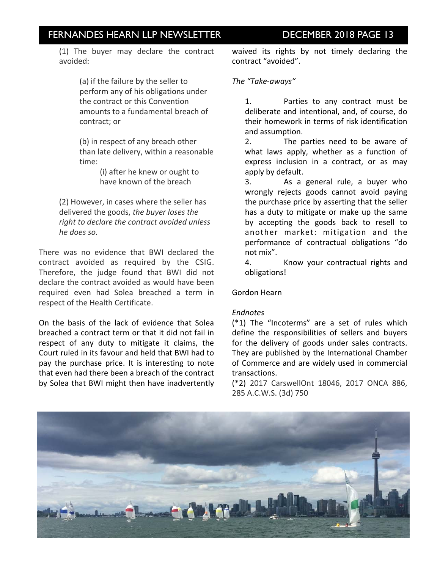(1) The buyer may declare the contract avoided:

> (a) if the failure by the seller to perform any of his obligations under the contract or this Convention amounts to a fundamental breach of contract; or

(b) in respect of any breach other than late delivery, within a reasonable time:

> (i) after he knew or ought to have known of the breach

(2) However, in cases where the seller has delivered the goods, the buyer loses the right to declare the contract avoided unless *he does so.*

There was no evidence that BWI declared the contract avoided as required by the CSIG. Therefore, the judge found that BWI did not declare the contract avoided as would have been required even had Solea breached a term in respect of the Health Certificate.

On the basis of the lack of evidence that Solea breached a contract term or that it did not fail in respect of any duty to mitigate it claims, the Court ruled in its favour and held that BWI had to pay the purchase price. It is interesting to note that even had there been a breach of the contract by Solea that BWI might then have inadvertently waived its rights by not timely declaring the contract "avoided".

## *The "Take-aways"*

1. Parties to any contract must be deliberate and intentional, and, of course, do their homework in terms of risk identification and assumption.

2. The parties need to be aware of what laws apply, whether as a function of express inclusion in a contract, or as may apply by default.

3. As a general rule, a buyer who wrongly rejects goods cannot avoid paying the purchase price by asserting that the seller has a duty to mitigate or make up the same by accepting the goods back to resell to another market: mitigation and the performance of contractual obligations "do not mix".

4. Know your contractual rights and obligations!

## Gordon Hearn

### *Endnotes*

 $(*1)$  The "Incoterms" are a set of rules which define the responsibilities of sellers and buyers for the delivery of goods under sales contracts. They are published by the International Chamber of Commerce and are widely used in commercial transactions. 

(\*2) 2017 CarswellOnt 18046, 2017 ONCA 886, 285 A.C.W.S. (3d) 750

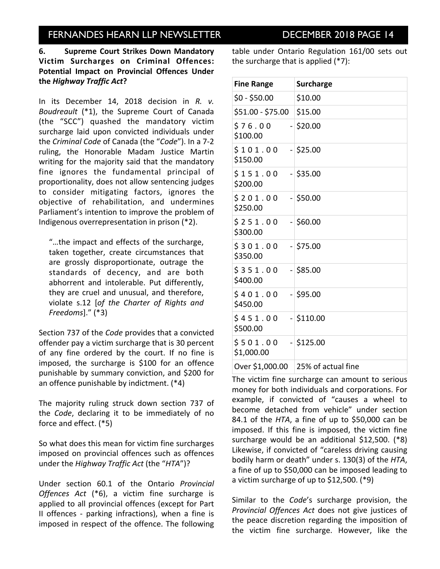**6.** Supreme Court Strikes Down Mandatory **Victim Surcharges on Criminal Offences: Potential Impact on Provincial Offences Under the** *Highway Traffic Act***?**

In its December 14, 2018 decision in R. v. *Boudreault* (\*1), the Supreme Court of Canada (the "SCC") quashed the mandatory victim surcharge laid upon convicted individuals under the *Criminal Code* of Canada (the "Code"). In a 7-2 ruling, the Honorable Madam Justice Martin writing for the majority said that the mandatory fine ignores the fundamental principal of proportionality, does not allow sentencing judges to consider mitigating factors, ignores the objective of rehabilitation, and undermines Parliament's intention to improve the problem of Indigenous overrepresentation in prison  $(*2)$ .

"...the impact and effects of the surcharge, taken together, create circumstances that are grossly disproportionate, outrage the standards of decency, and are both abhorrent and intolerable. Put differently, they are cruel and unusual, and therefore, violate s.12 [of the Charter of Rights and *Freedoms*]." (\*3)

Section 737 of the *Code* provides that a convicted offender pay a victim surcharge that is 30 percent of any fine ordered by the court. If no fine is imposed, the surcharge is \$100 for an offence punishable by summary conviction, and \$200 for an offence punishable by indictment.  $(*4)$ 

The majority ruling struck down section 737 of the *Code*, declaring it to be immediately of no force and effect. (\*5)

So what does this mean for victim fine surcharges imposed on provincial offences such as offences under the *Highway Traffic Act* (the "HTA")?

Under section 60.1 of the Ontario *Provincial*  Offences Act (\*6), a victim fine surcharge is applied to all provincial offences (except for Part II offences - parking infractions), when a fine is imposed in respect of the offence. The following table under Ontario Regulation 161/00 sets out the surcharge that is applied  $(*7)$ :

| <b>Fine Range</b>      | <b>Surcharge</b>   |
|------------------------|--------------------|
| $$0 - $50.00$          | \$10.00            |
| \$51.00 - \$75.00      | \$15.00            |
| \$76.00<br>\$100.00    | $-$ \$20.00        |
| \$101.00<br>\$150.00   | $-$ \$25.00        |
| \$151.00<br>\$200.00   | $-$ \$35.00        |
| \$201.00<br>\$250.00   | $-$ \$50.00        |
| \$251.00<br>\$300.00   | $-$ \$60.00        |
| \$301.00<br>\$350.00   | $-$ \$75.00        |
| \$351.00<br>\$400.00   | $-$ \$85.00        |
| \$401.00<br>\$450.00   | $-$ \$95.00        |
| \$451.00<br>\$500.00   | $-$ \$110.00       |
| \$501.00<br>\$1,000.00 | $-$ \$125.00       |
| Over \$1,000.00        | 25% of actual fine |

The victim fine surcharge can amount to serious money for both individuals and corporations. For example, if convicted of "causes a wheel to become detached from vehicle" under section 84.1 of the  $HTA$ , a fine of up to \$50,000 can be imposed. If this fine is imposed, the victim fine surcharge would be an additional  $$12,500$ . (\*8) Likewise, if convicted of "careless driving causing bodily harm or death" under s. 130(3) of the HTA, a fine of up to \$50,000 can be imposed leading to a victim surcharge of up to  $$12,500$ . (\*9)

Similar to the *Code's* surcharge provision, the *Provincial Offences Act* does not give justices of the peace discretion regarding the imposition of the victim fine surcharge. However, like the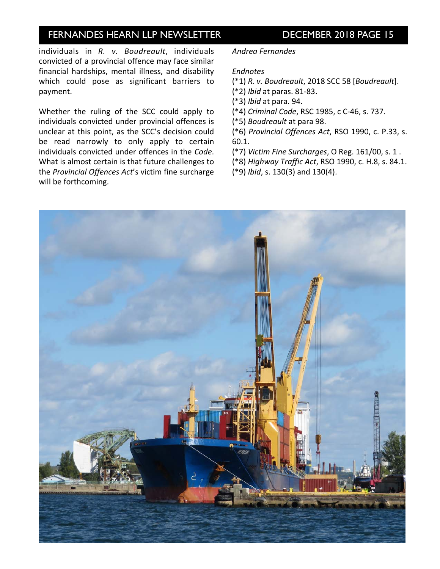individuals in R. v. Boudreault, individuals convicted of a provincial offence may face similar financial hardships, mental illness, and disability which could pose as significant barriers to payment. 

Whether the ruling of the SCC could apply to individuals convicted under provincial offences is unclear at this point, as the SCC's decision could be read narrowly to only apply to certain individuals convicted under offences in the *Code*. What is almost certain is that future challenges to the *Provincial Offences Act's* victim fine surcharge will be forthcoming.

### *Andrea Fernandes*

### *Endnotes*

- (\*1) *R. v. Boudreault*, 2018 SCC 58 [*Boudreault*].
- (\*2) *Ibid* at paras. 81-83.
- (\*3) *Ibid* at para. 94.
- (\*4) *Criminal Code*, RSC 1985, c C-46, s. 737.
- (\*5) *Boudreault* at para 98.

(\*6) *Provincial Offences Act*, RSO 1990, c. P.33, s. 60.1.

(\*7) *Victim Fine Surcharges*, O Reg. 161/00, s. 1 .

(\*8) *Highway Traffic Act*, RSO 1990, c. H.8, s. 84.1.

(\*9) *Ibid*, s. 130(3) and 130(4).

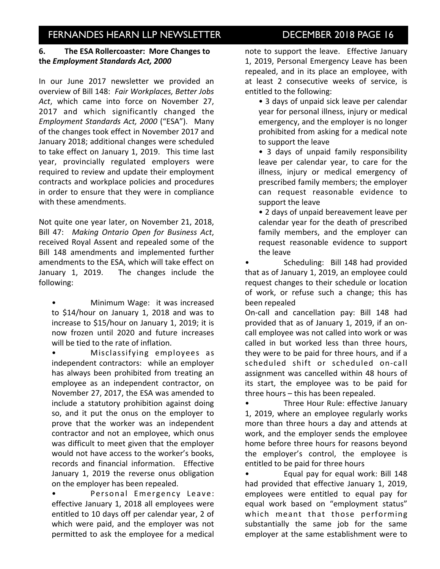## **6.** The ESA Rollercoaster: More Changes to the *Employment Standards Act, 2000*

In our June 2017 newsletter we provided an overview of Bill 148: Fair Workplaces, Better Jobs Act, which came into force on November 27, 2017 and which significantly changed the *Employment Standards Act, 2000* ("ESA"). Many of the changes took effect in November 2017 and January 2018; additional changes were scheduled to take effect on January 1, 2019. This time last year, provincially regulated employers were required to review and update their employment contracts and workplace policies and procedures in order to ensure that they were in compliance with these amendments.

Not quite one year later, on November 21, 2018, Bill 47: Making Ontario Open for Business Act, received Royal Assent and repealed some of the Bill 148 amendments and implemented further amendments to the ESA, which will take effect on January 1, 2019. The changes include the following:

Minimum Wage: it was increased to \$14/hour on January 1, 2018 and was to increase to \$15/hour on January 1, 2019; it is now frozen until 2020 and future increases will be tied to the rate of inflation.

Misclassifying employees as independent contractors: while an employer has always been prohibited from treating an employee as an independent contractor, on November 27, 2017, the ESA was amended to include a statutory prohibition against doing so, and it put the onus on the employer to prove that the worker was an independent contractor and not an employee, which onus was difficult to meet given that the employer would not have access to the worker's books, records and financial information. Effective January 1, 2019 the reverse onus obligation on the employer has been repealed.

Personal Emergency Leave: effective January 1, 2018 all employees were entitled to 10 days off per calendar year, 2 of which were paid, and the employer was not permitted to ask the employee for a medical note to support the leave. Effective January 1, 2019, Personal Emergency Leave has been repealed, and in its place an employee, with at least 2 consecutive weeks of service, is entitled to the following:

• 3 days of unpaid sick leave per calendar year for personal illness, injury or medical emergency, and the employer is no longer prohibited from asking for a medical note to support the leave

• 3 days of unpaid family responsibility leave per calendar year, to care for the illness, injury or medical emergency of prescribed family members; the employer can request reasonable evidence to support the leave

• 2 days of unpaid bereavement leave per calendar year for the death of prescribed family members, and the employer can request reasonable evidence to support the leave

Scheduling: Bill 148 had provided that as of January 1, 2019, an employee could request changes to their schedule or location of work, or refuse such a change; this has been repealed

On-call and cancellation pay: Bill 148 had provided that as of January 1, 2019, if an oncall employee was not called into work or was called in but worked less than three hours, they were to be paid for three hours, and if a scheduled shift or scheduled on-call assignment was cancelled within 48 hours of its start, the employee was to be paid for three hours  $-$  this has been repealed.

Three Hour Rule: effective January 1, 2019, where an employee regularly works more than three hours a day and attends at work, and the employer sends the employee home before three hours for reasons beyond the employer's control, the employee is entitled to be paid for three hours

• Equal pay for equal work: Bill 148 had provided that effective January 1, 2019, employees were entitled to equal pay for equal work based on "employment status" which meant that those performing substantially the same job for the same employer at the same establishment were to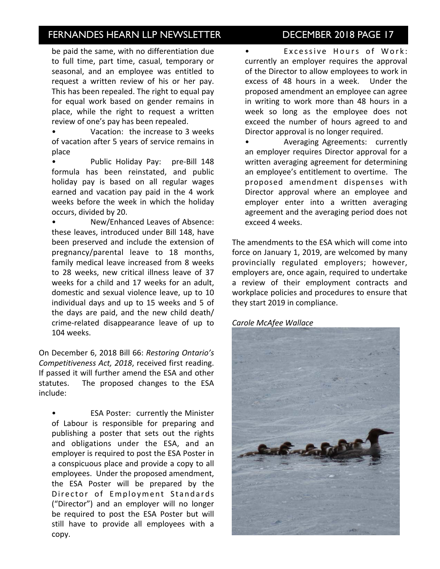be paid the same, with no differentiation due to full time, part time, casual, temporary or seasonal, and an employee was entitled to request a written review of his or her pay. This has been repealed. The right to equal pay for equal work based on gender remains in place, while the right to request a written review of one's pay has been repealed.

Vacation: the increase to 3 weeks of vacation after 5 years of service remains in place

Public Holiday Pay: pre-Bill 148 formula has been reinstated, and public holiday pay is based on all regular wages earned and vacation pay paid in the 4 work weeks before the week in which the holiday occurs, divided by 20.

New/Enhanced Leaves of Absence: these leaves, introduced under Bill 148, have been preserved and include the extension of pregnancy/parental leave to 18 months, family medical leave increased from 8 weeks to 28 weeks, new critical illness leave of 37 weeks for a child and 17 weeks for an adult, domestic and sexual violence leave, up to 10 individual days and up to 15 weeks and 5 of the days are paid, and the new child death/ crime-related disappearance leave of up to 104 weeks. 

On December 6, 2018 Bill 66: Restoring Ontario's Competitiveness Act, 2018, received first reading. If passed it will further amend the ESA and other statutes. The proposed changes to the ESA include:

ESA Poster: currently the Minister of Labour is responsible for preparing and publishing a poster that sets out the rights and obligations under the ESA, and an employer is required to post the ESA Poster in a conspicuous place and provide a copy to all employees. Under the proposed amendment, the ESA Poster will be prepared by the Director of Employment Standards ("Director") and an employer will no longer be required to post the ESA Poster but will still have to provide all employees with a copy.

Excessive Hours of Work: currently an employer requires the approval of the Director to allow employees to work in excess of 48 hours in a week. Under the proposed amendment an employee can agree in writing to work more than 48 hours in a week so long as the employee does not exceed the number of hours agreed to and Director approval is no longer required.

• **Averaging Agreements: currently** an employer requires Director approval for a written averaging agreement for determining an employee's entitlement to overtime. The proposed amendment dispenses with Director approval where an employee and employer enter into a written averaging agreement and the averaging period does not exceed 4 weeks.

The amendments to the ESA which will come into force on January 1, 2019, are welcomed by many provincially regulated employers; however, employers are, once again, required to undertake a review of their employment contracts and workplace policies and procedures to ensure that they start 2019 in compliance.

### *Carole McAfee Wallace*

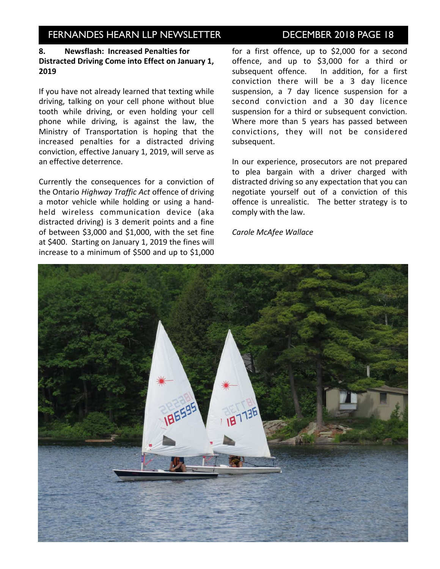## 8. Newsflash: Increased Penalties for Distracted Driving Come into Effect on January 1, **2019**

If you have not already learned that texting while driving, talking on your cell phone without blue tooth while driving, or even holding your cell phone while driving, is against the law, the Ministry of Transportation is hoping that the increased penalties for a distracted driving conviction, effective January 1, 2019, will serve as an effective deterrence.

Currently the consequences for a conviction of the Ontario *Highway Traffic Act* offence of driving a motor vehicle while holding or using a handheld wireless communication device (aka distracted driving) is 3 demerit points and a fine of between  $$3,000$  and  $$1,000$ , with the set fine at \$400. Starting on January 1, 2019 the fines will increase to a minimum of \$500 and up to \$1,000 for a first offence, up to \$2,000 for a second offence, and up to \$3,000 for a third or subsequent offence. In addition, for a first conviction there will be a 3 day licence suspension, a 7 day licence suspension for a second conviction and a 30 day licence suspension for a third or subsequent conviction. Where more than 5 years has passed between convictions, they will not be considered subsequent.

In our experience, prosecutors are not prepared to plea bargain with a driver charged with distracted driving so any expectation that you can negotiate yourself out of a conviction of this offence is unrealistic. The better strategy is to comply with the law.

*Carole McAfee Wallace*

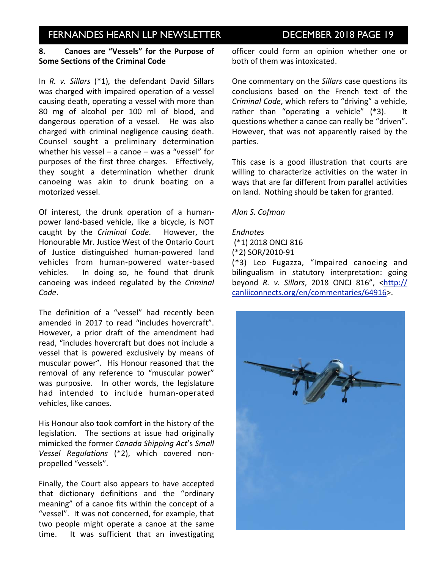## **8.** Canoes are "Vessels" for the Purpose of **Some Sections of the Criminal Code**

In *R. v. Sillars* (\*1), the defendant David Sillars was charged with impaired operation of a vessel causing death, operating a vessel with more than 80 mg of alcohol per 100 ml of blood, and dangerous operation of a vessel. He was also charged with criminal negligence causing death. Counsel sought a preliminary determination whether his vessel  $-$  a canoe  $-$  was a "vessel" for purposes of the first three charges. Effectively, they sought a determination whether drunk canoeing was akin to drunk boating on a motorized vessel.

Of interest, the drunk operation of a humanpower land-based vehicle, like a bicycle, is NOT caught by the *Criminal Code*. However, the Honourable Mr. Justice West of the Ontario Court of Justice distinguished human-powered land vehicles from human-powered water-based vehicles. In doing so, he found that drunk canoeing was indeed regulated by the *Criminal Code*.

The definition of a "vessel" had recently been amended in 2017 to read "includes hovercraft". However, a prior draft of the amendment had read, "includes hovercraft but does not include a vessel that is powered exclusively by means of muscular power". His Honour reasoned that the removal of any reference to "muscular power" was purposive. In other words, the legislature had intended to include human-operated vehicles, like canoes.

His Honour also took comfort in the history of the legislation. The sections at issue had originally mimicked the former *Canada Shipping Act's Small Vessel Regulations* (\*2), which covered nonpropelled "vessels".

Finally, the Court also appears to have accepted that dictionary definitions and the "ordinary meaning" of a canoe fits within the concept of a "vessel". It was not concerned, for example, that two people might operate a canoe at the same time. It was sufficient that an investigating officer could form an opinion whether one or both of them was intoxicated.

One commentary on the *Sillars* case questions its conclusions based on the French text of the *Criminal Code*, which refers to "driving" a vehicle, rather than "operating a vehicle"  $(*3)$ . It questions whether a canoe can really be "driven". However, that was not apparently raised by the parties.

This case is a good illustration that courts are willing to characterize activities on the water in ways that are far different from parallel activities on land. Nothing should be taken for granted.

### *Alan S. Cofman*

#### *Endnotes*

 (\*1) 2018 ONCJ 816

(\*2) SOR/2010-91

(\*3) Leo Fugazza, "Impaired canoeing and bilingualism in statutory interpretation: going beyond *R. v. Sillars*, 2018 ONCJ 816", [<http://](http://canliiconnects.org/en/commentaries/64916) [canliiconnects.org/en/commentaries/64916>](http://canliiconnects.org/en/commentaries/64916).